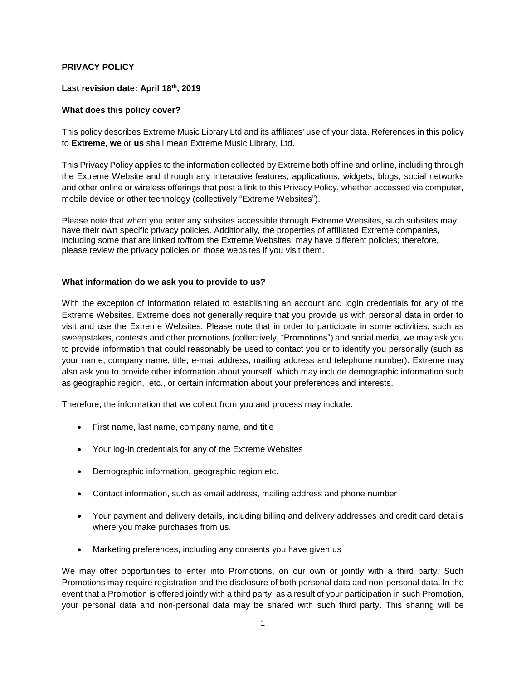## **PRIVACY POLICY**

### **Last revision date: April 18th, 2019**

## **What does this policy cover?**

This policy describes Extreme Music Library Ltd and its affiliates' use of your data. References in this policy to **Extreme, we** or **us** shall mean Extreme Music Library, Ltd.

This Privacy Policy applies to the information collected by Extreme both offline and online, including through the Extreme Website and through any interactive features, applications, widgets, blogs, social networks and other online or wireless offerings that post a link to this Privacy Policy, whether accessed via computer, mobile device or other technology (collectively "Extreme Websites").

Please note that when you enter any subsites accessible through Extreme Websites, such subsites may have their own specific privacy policies. Additionally, the properties of affiliated Extreme companies, including some that are linked to/from the Extreme Websites, may have different policies; therefore, please review the privacy policies on those websites if you visit them.

#### **What information do we ask you to provide to us?**

With the exception of information related to establishing an account and login credentials for any of the Extreme Websites, Extreme does not generally require that you provide us with personal data in order to visit and use the Extreme Websites. Please note that in order to participate in some activities, such as sweepstakes, contests and other promotions (collectively, "Promotions") and social media, we may ask you to provide information that could reasonably be used to contact you or to identify you personally (such as your name, company name, title, e-mail address, mailing address and telephone number). Extreme may also ask you to provide other information about yourself, which may include demographic information such as geographic region, etc., or certain information about your preferences and interests.

Therefore, the information that we collect from you and process may include:

- First name, last name, company name, and title
- Your log-in credentials for any of the Extreme Websites
- Demographic information, geographic region etc.
- Contact information, such as email address, mailing address and phone number
- Your payment and delivery details, including billing and delivery addresses and credit card details where you make purchases from us.
- Marketing preferences, including any consents you have given us

We may offer opportunities to enter into Promotions, on our own or jointly with a third party. Such Promotions may require registration and the disclosure of both personal data and non-personal data. In the event that a Promotion is offered jointly with a third party, as a result of your participation in such Promotion, your personal data and non-personal data may be shared with such third party. This sharing will be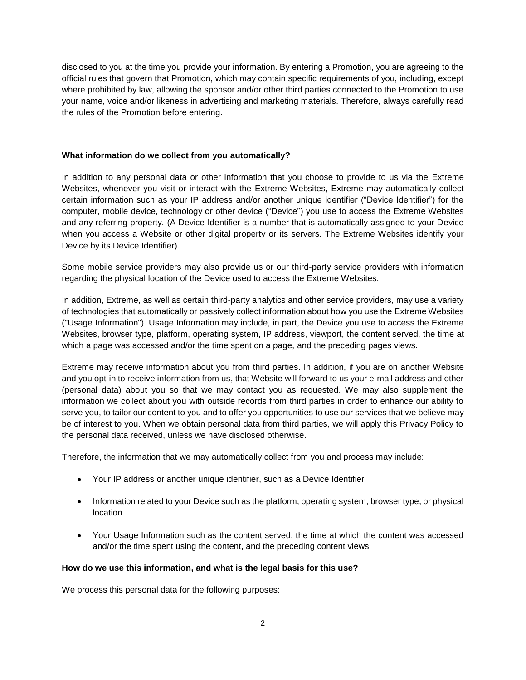disclosed to you at the time you provide your information. By entering a Promotion, you are agreeing to the official rules that govern that Promotion, which may contain specific requirements of you, including, except where prohibited by law, allowing the sponsor and/or other third parties connected to the Promotion to use your name, voice and/or likeness in advertising and marketing materials. Therefore, always carefully read the rules of the Promotion before entering.

### **What information do we collect from you automatically?**

In addition to any personal data or other information that you choose to provide to us via the Extreme Websites, whenever you visit or interact with the Extreme Websites, Extreme may automatically collect certain information such as your IP address and/or another unique identifier ("Device Identifier") for the computer, mobile device, technology or other device ("Device") you use to access the Extreme Websites and any referring property. (A Device Identifier is a number that is automatically assigned to your Device when you access a Website or other digital property or its servers. The Extreme Websites identify your Device by its Device Identifier).

Some mobile service providers may also provide us or our third-party service providers with information regarding the physical location of the Device used to access the Extreme Websites.

In addition, Extreme, as well as certain third-party analytics and other service providers, may use a variety of technologies that automatically or passively collect information about how you use the Extreme Websites ("Usage Information"). Usage Information may include, in part, the Device you use to access the Extreme Websites, browser type, platform, operating system, IP address, viewport, the content served, the time at which a page was accessed and/or the time spent on a page, and the preceding pages views.

Extreme may receive information about you from third parties. In addition, if you are on another Website and you opt-in to receive information from us, that Website will forward to us your e-mail address and other (personal data) about you so that we may contact you as requested. We may also supplement the information we collect about you with outside records from third parties in order to enhance our ability to serve you, to tailor our content to you and to offer you opportunities to use our services that we believe may be of interest to you. When we obtain personal data from third parties, we will apply this Privacy Policy to the personal data received, unless we have disclosed otherwise.

Therefore, the information that we may automatically collect from you and process may include:

- Your IP address or another unique identifier, such as a Device Identifier
- Information related to your Device such as the platform, operating system, browser type, or physical location
- Your Usage Information such as the content served, the time at which the content was accessed and/or the time spent using the content, and the preceding content views

#### **How do we use this information, and what is the legal basis for this use?**

We process this personal data for the following purposes: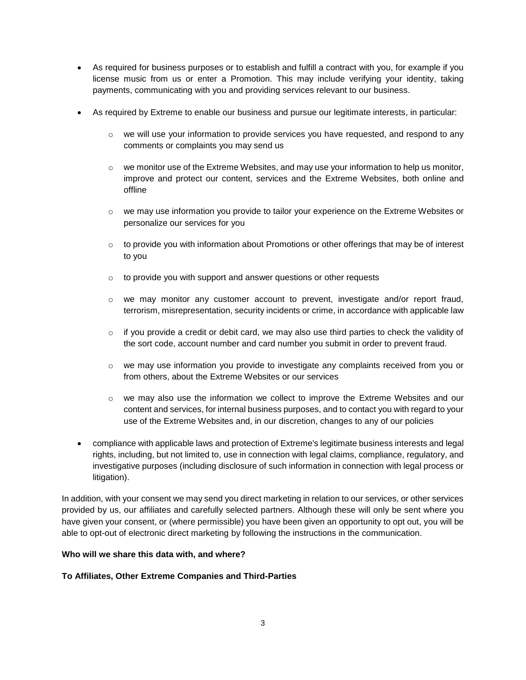- As required for business purposes or to establish and fulfill a contract with you, for example if you license music from us or enter a Promotion. This may include verifying your identity, taking payments, communicating with you and providing services relevant to our business.
- As required by Extreme to enable our business and pursue our legitimate interests, in particular:
	- $\circ$  we will use your information to provide services you have requested, and respond to any comments or complaints you may send us
	- $\circ$  we monitor use of the Extreme Websites, and may use your information to help us monitor, improve and protect our content, services and the Extreme Websites, both online and offline
	- o we may use information you provide to tailor your experience on the Extreme Websites or personalize our services for you
	- $\circ$  to provide you with information about Promotions or other offerings that may be of interest to you
	- $\circ$  to provide you with support and answer questions or other requests
	- $\circ$  we may monitor any customer account to prevent, investigate and/or report fraud, terrorism, misrepresentation, security incidents or crime, in accordance with applicable law
	- $\circ$  if you provide a credit or debit card, we may also use third parties to check the validity of the sort code, account number and card number you submit in order to prevent fraud.
	- $\circ$  we may use information you provide to investigate any complaints received from you or from others, about the Extreme Websites or our services
	- $\circ$  we may also use the information we collect to improve the Extreme Websites and our content and services, for internal business purposes, and to contact you with regard to your use of the Extreme Websites and, in our discretion, changes to any of our policies
- compliance with applicable laws and protection of Extreme's legitimate business interests and legal rights, including, but not limited to, use in connection with legal claims, compliance, regulatory, and investigative purposes (including disclosure of such information in connection with legal process or litigation).

In addition, with your consent we may send you direct marketing in relation to our services, or other services provided by us, our affiliates and carefully selected partners. Although these will only be sent where you have given your consent, or (where permissible) you have been given an opportunity to opt out, you will be able to opt-out of electronic direct marketing by following the instructions in the communication.

#### **Who will we share this data with, and where?**

## **To Affiliates, Other Extreme Companies and Third-Parties**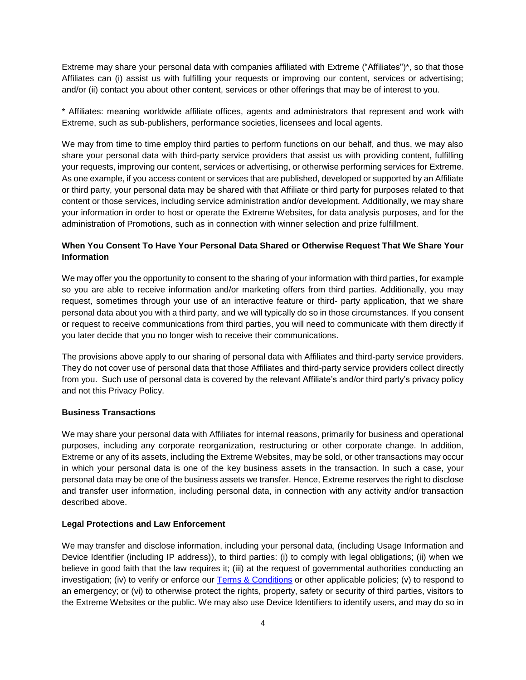Extreme may share your personal data with companies affiliated with Extreme ("Affiliates")\*, so that those Affiliates can (i) assist us with fulfilling your requests or improving our content, services or advertising; and/or (ii) contact you about other content, services or other offerings that may be of interest to you.

\* Affiliates: meaning worldwide affiliate offices, agents and administrators that represent and work with Extreme, such as sub-publishers, performance societies, licensees and local agents.

We may from time to time employ third parties to perform functions on our behalf, and thus, we may also share your personal data with third-party service providers that assist us with providing content, fulfilling your requests, improving our content, services or advertising, or otherwise performing services for Extreme. As one example, if you access content or services that are published, developed or supported by an Affiliate or third party, your personal data may be shared with that Affiliate or third party for purposes related to that content or those services, including service administration and/or development. Additionally, we may share your information in order to host or operate the Extreme Websites, for data analysis purposes, and for the administration of Promotions, such as in connection with winner selection and prize fulfillment.

# **When You Consent To Have Your Personal Data Shared or Otherwise Request That We Share Your Information**

We may offer you the opportunity to consent to the sharing of your information with third parties, for example so you are able to receive information and/or marketing offers from third parties. Additionally, you may request, sometimes through your use of an interactive feature or third- party application, that we share personal data about you with a third party, and we will typically do so in those circumstances. If you consent or request to receive communications from third parties, you will need to communicate with them directly if you later decide that you no longer wish to receive their communications.

The provisions above apply to our sharing of personal data with Affiliates and third-party service providers. They do not cover use of personal data that those Affiliates and third-party service providers collect directly from you. Such use of personal data is covered by the relevant Affiliate's and/or third party's privacy policy and not this Privacy Policy.

#### **Business Transactions**

We may share your personal data with Affiliates for internal reasons, primarily for business and operational purposes, including any corporate reorganization, restructuring or other corporate change. In addition, Extreme or any of its assets, including the Extreme Websites, may be sold, or other transactions may occur in which your personal data is one of the key business assets in the transaction. In such a case, your personal data may be one of the business assets we transfer. Hence, Extreme reserves the right to disclose and transfer user information, including personal data, in connection with any activity and/or transaction described above.

#### **Legal Protections and Law Enforcement**

We may transfer and disclose information, including your personal data, (including Usage Information and Device Identifier (including IP address)), to third parties: (i) to comply with legal obligations; (ii) when we believe in good faith that the law requires it; (iii) at the request of governmental authorities conducting an investigation; (iv) to verify or enforce our [Terms & Conditions](https://www.sonyatv.com/en/terms-and-conditions) or other applicable policies; (v) to respond to an emergency; or (vi) to otherwise protect the rights, property, safety or security of third parties, visitors to the Extreme Websites or the public. We may also use Device Identifiers to identify users, and may do so in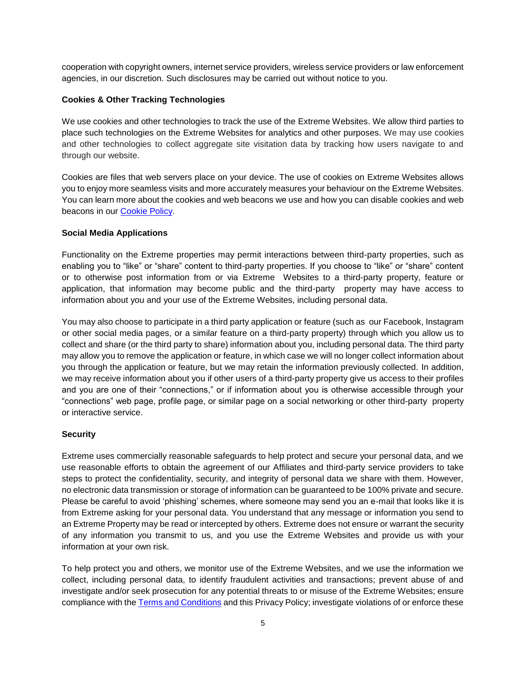cooperation with copyright owners, internet service providers, wireless service providers or law enforcement agencies, in our discretion. Such disclosures may be carried out without notice to you.

### **Cookies & Other Tracking Technologies**

We use cookies and other technologies to track the use of the Extreme Websites. We allow third parties to place such technologies on the Extreme Websites for analytics and other purposes. We may use cookies and other technologies to collect aggregate site visitation data by tracking how users navigate to and through our website.

Cookies are files that web servers place on your device. The use of cookies on Extreme Websites allows you to enjoy more seamless visits and more accurately measures your behaviour on the Extreme Websites. You can learn more about the cookies and web beacons we use and how you can disable cookies and web beacons in our [Cookie Policy.](https://www.sonyatv.com/en/cookie-policy)

## **Social Media Applications**

Functionality on the Extreme properties may permit interactions between third-party properties, such as enabling you to "like" or "share" content to third-party properties. If you choose to "like" or "share" content or to otherwise post information from or via Extreme Websites to a third-party property, feature or application, that information may become public and the third-party property may have access to information about you and your use of the Extreme Websites, including personal data.

You may also choose to participate in a third party application or feature (such as our Facebook, Instagram or other social media pages, or a similar feature on a third-party property) through which you allow us to collect and share (or the third party to share) information about you, including personal data. The third party may allow you to remove the application or feature, in which case we will no longer collect information about you through the application or feature, but we may retain the information previously collected. In addition, we may receive information about you if other users of a third-party property give us access to their profiles and you are one of their "connections," or if information about you is otherwise accessible through your "connections" web page, profile page, or similar page on a social networking or other third-party property or interactive service.

## **Security**

Extreme uses commercially reasonable safeguards to help protect and secure your personal data, and we use reasonable efforts to obtain the agreement of our Affiliates and third-party service providers to take steps to protect the confidentiality, security, and integrity of personal data we share with them. However, no electronic data transmission or storage of information can be guaranteed to be 100% private and secure. Please be careful to avoid 'phishing' schemes, where someone may send you an e-mail that looks like it is from Extreme asking for your personal data. You understand that any message or information you send to an Extreme Property may be read or intercepted by others. Extreme does not ensure or warrant the security of any information you transmit to us, and you use the Extreme Websites and provide us with your information at your own risk.

To help protect you and others, we monitor use of the Extreme Websites, and we use the information we collect, including personal data, to identify fraudulent activities and transactions; prevent abuse of and investigate and/or seek prosecution for any potential threats to or misuse of the Extreme Websites; ensure compliance with the [Terms and Conditions](https://www.sonyatv.com/en/terms-and-conditions) and this Privacy Policy; investigate violations of or enforce these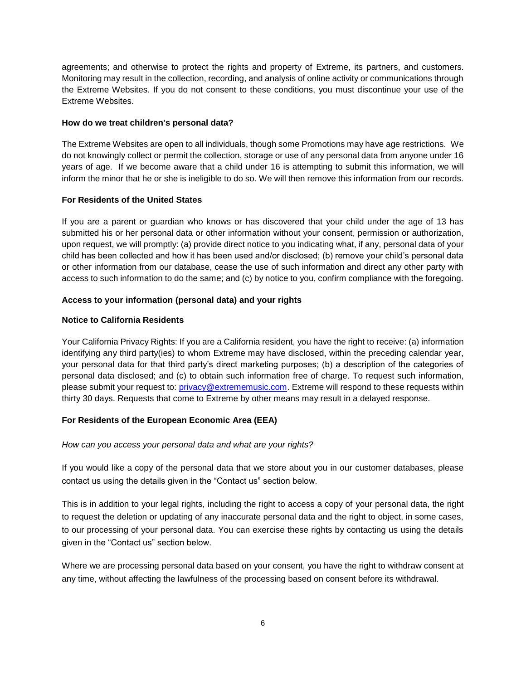agreements; and otherwise to protect the rights and property of Extreme, its partners, and customers. Monitoring may result in the collection, recording, and analysis of online activity or communications through the Extreme Websites. If you do not consent to these conditions, you must discontinue your use of the Extreme Websites.

### **How do we treat children's personal data?**

The Extreme Websites are open to all individuals, though some Promotions may have age restrictions. We do not knowingly collect or permit the collection, storage or use of any personal data from anyone under 16 years of age. If we become aware that a child under 16 is attempting to submit this information, we will inform the minor that he or she is ineligible to do so. We will then remove this information from our records.

## **For Residents of the United States**

If you are a parent or guardian who knows or has discovered that your child under the age of 13 has submitted his or her personal data or other information without your consent, permission or authorization, upon request, we will promptly: (a) provide direct notice to you indicating what, if any, personal data of your child has been collected and how it has been used and/or disclosed; (b) remove your child's personal data or other information from our database, cease the use of such information and direct any other party with access to such information to do the same; and (c) by notice to you, confirm compliance with the foregoing.

## **Access to your information (personal data) and your rights**

## **Notice to California Residents**

Your California Privacy Rights: If you are a California resident, you have the right to receive: (a) information identifying any third party(ies) to whom Extreme may have disclosed, within the preceding calendar year, your personal data for that third party's direct marketing purposes; (b) a description of the categories of personal data disclosed; and (c) to obtain such information free of charge. To request such information, please submit your request to: [privacy@extrememusic.com.](mailto:privacy@extrememusic.com) Extreme will respond to these requests within thirty 30 days. Requests that come to Extreme by other means may result in a delayed response.

## **For Residents of the European Economic Area (EEA)**

#### *How can you access your personal data and what are your rights?*

If you would like a copy of the personal data that we store about you in our customer databases, please contact us using the details given in the "Contact us" section below.

This is in addition to your legal rights, including the right to access a copy of your personal data, the right to request the deletion or updating of any inaccurate personal data and the right to object, in some cases, to our processing of your personal data. You can exercise these rights by contacting us using the details given in the "Contact us" section below.

Where we are processing personal data based on your consent, you have the right to withdraw consent at any time, without affecting the lawfulness of the processing based on consent before its withdrawal.